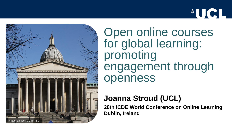



Open online courses for global learning: promoting engagement through openness

#### **Joanna Stroud (UCL)**

**28th ICDE World Conference on Online Learning Dublin, Ireland**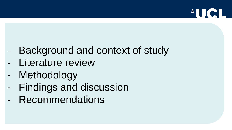

- Background and context of study
- Literature review
- Methodology
- Findings and discussion
- Recommendations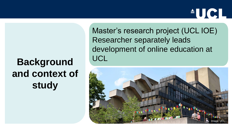### **Background and context of study**

Master's research project (UCL IOE) Researcher separately leads development of online education at UCL

 $AU$ CI

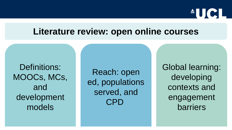

#### **Literature review: open online courses**

Definitions: MOOCs, MCs, and development models

Reach: open ed, populations served, and CPD

Global learning: developing contexts and engagement barriers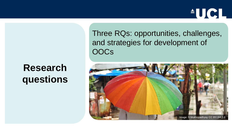### **Research questions**

Three RQs: opportunities, challenges, and strategies for development of **OOCs** 

**AUCL** 

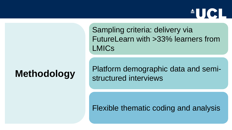### **Methodology**

Sampling criteria: delivery via FutureLearn with >33% learners from LMICs

 $\blacksquare$   $\blacksquare$ 

Platform demographic data and semistructured interviews

Flexible thematic coding and analysis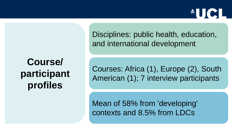# $\triangle$  U C

### **Course/ participant profiles**

Disciplines: public health, education, and international development

Courses: Africa (1), Europe (2), South American (1); 7 interview participants

Mean of 58% from 'developing' contexts and 8.5% from LDCs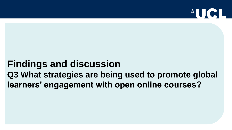

### **Findings and discussion Q3 What strategies are being used to promote global learners' engagement with open online courses?**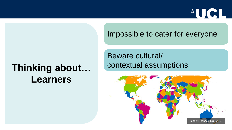

#### Impossible to cater for everyone

### **Thinking about… Learners**

Beware cultural/ contextual assumptions

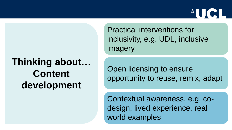### **Thinking about… Content development**

Practical interventions for inclusivity, e.g. UDL, inclusive imagery

Open licensing to ensure opportunity to reuse, remix, adapt

 $\triangle$ UC

Contextual awareness, e.g. codesign, lived experience, real world examples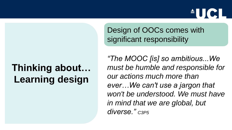## $\triangleq$   $\bigcup$   $\bigcap$

# **Thinking about… Learning design**

Design of OOCs comes with significant responsibility

*"The MOOC [is] so ambitious...We must be humble and responsible for our actions much more than ever…We can't use a jargon that won't be understood. We must have in mind that we are global, but diverse." C3P5*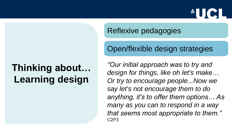### **Thinking about… Learning design**

Reflexive pedagogies

#### Open/flexible design strategies

 $\triangleq$   $\bigcup$   $\bigcup$ 

*"Our initial approach was to try and design for things, like oh let's make… Or try to encourage people...Now we say let's not encourage them to do anything, it's to offer them options… As many as you can to respond in a way that seems most appropriate to them."* C2P3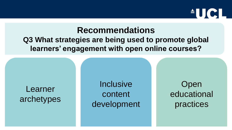

#### **Recommendations**

#### **Q3 What strategies are being used to promote global learners' engagement with open online courses?**

#### Learner archetypes

**Inclusive** content development

Open educational practices